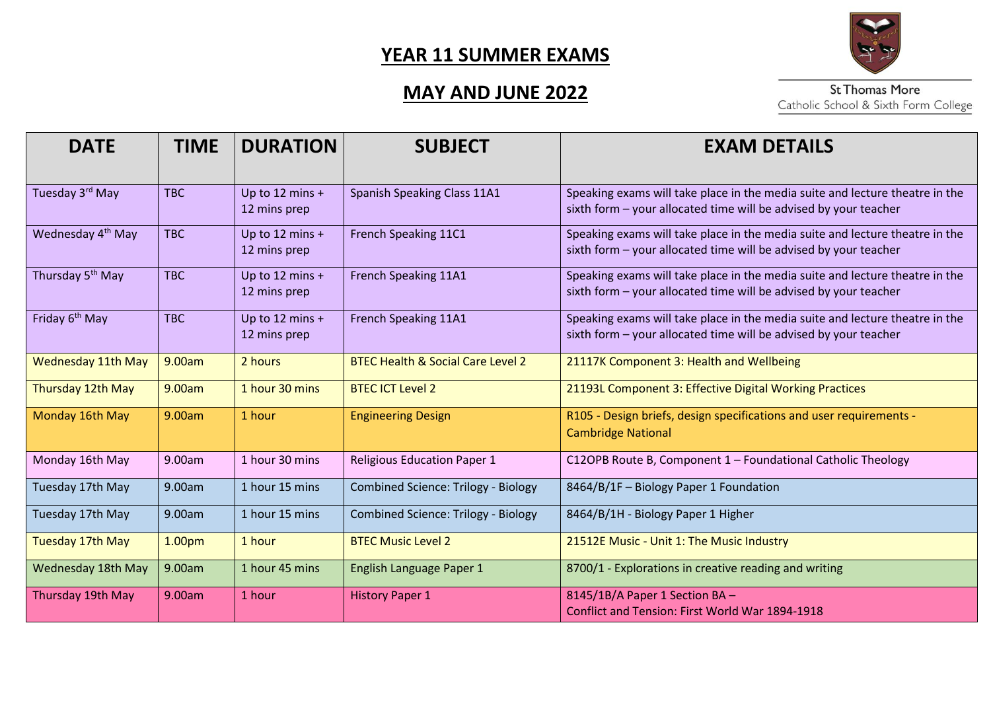# **MAY AND JUNE 2022**



| <b>DATE</b>                   | <b>TIME</b>        | <b>DURATION</b>                   | <b>SUBJECT</b>                               | <b>EXAM DETAILS</b>                                                                                                                              |
|-------------------------------|--------------------|-----------------------------------|----------------------------------------------|--------------------------------------------------------------------------------------------------------------------------------------------------|
| Tuesday 3rd May               | <b>TBC</b>         | Up to 12 mins $+$<br>12 mins prep | <b>Spanish Speaking Class 11A1</b>           | Speaking exams will take place in the media suite and lecture theatre in the<br>sixth form - your allocated time will be advised by your teacher |
| Wednesday 4 <sup>th</sup> May | <b>TBC</b>         | Up to 12 mins $+$<br>12 mins prep | French Speaking 11C1                         | Speaking exams will take place in the media suite and lecture theatre in the<br>sixth form - your allocated time will be advised by your teacher |
| Thursday 5 <sup>th</sup> May  | <b>TBC</b>         | Up to 12 mins $+$<br>12 mins prep | French Speaking 11A1                         | Speaking exams will take place in the media suite and lecture theatre in the<br>sixth form - your allocated time will be advised by your teacher |
| Friday 6 <sup>th</sup> May    | <b>TBC</b>         | Up to 12 mins $+$<br>12 mins prep | French Speaking 11A1                         | Speaking exams will take place in the media suite and lecture theatre in the<br>sixth form - your allocated time will be advised by your teacher |
| <b>Wednesday 11th May</b>     | 9.00am             | 2 hours                           | <b>BTEC Health &amp; Social Care Level 2</b> | 21117K Component 3: Health and Wellbeing                                                                                                         |
| Thursday 12th May             | 9.00am             | 1 hour 30 mins                    | <b>BTEC ICT Level 2</b>                      | 21193L Component 3: Effective Digital Working Practices                                                                                          |
| Monday 16th May               | 9.00am             | 1 hour                            | <b>Engineering Design</b>                    | R105 - Design briefs, design specifications and user requirements -<br><b>Cambridge National</b>                                                 |
| Monday 16th May               | 9.00am             | 1 hour 30 mins                    | <b>Religious Education Paper 1</b>           | C12OPB Route B, Component 1 - Foundational Catholic Theology                                                                                     |
| Tuesday 17th May              | 9.00am             | 1 hour 15 mins                    | <b>Combined Science: Trilogy - Biology</b>   | 8464/B/1F - Biology Paper 1 Foundation                                                                                                           |
| Tuesday 17th May              | 9.00am             | 1 hour 15 mins                    | <b>Combined Science: Trilogy - Biology</b>   | 8464/B/1H - Biology Paper 1 Higher                                                                                                               |
| Tuesday 17th May              | 1.00 <sub>pm</sub> | 1 hour                            | <b>BTEC Music Level 2</b>                    | 21512E Music - Unit 1: The Music Industry                                                                                                        |
| Wednesday 18th May            | 9.00am             | 1 hour 45 mins                    | English Language Paper 1                     | 8700/1 - Explorations in creative reading and writing                                                                                            |
| Thursday 19th May             | 9.00am             | 1 hour                            | <b>History Paper 1</b>                       | 8145/1B/A Paper 1 Section BA -<br>Conflict and Tension: First World War 1894-1918                                                                |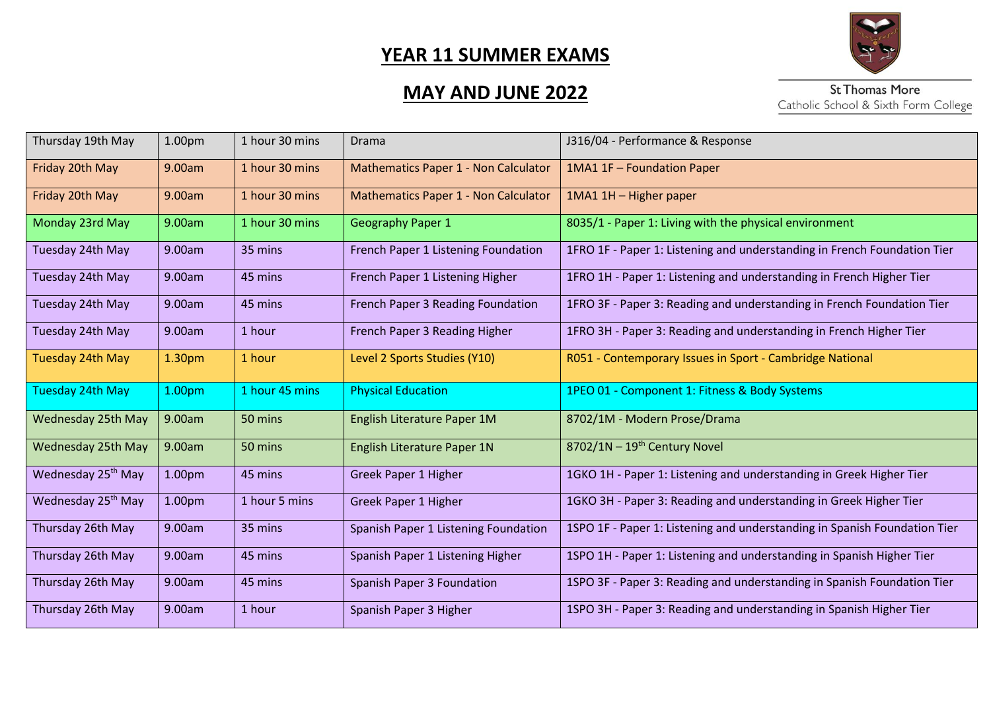

# **MAY AND JUNE 2022**

| Thursday 19th May              | 1.00pm             | 1 hour 30 mins | <b>Drama</b>                                | J316/04 - Performance & Response                                          |
|--------------------------------|--------------------|----------------|---------------------------------------------|---------------------------------------------------------------------------|
| Friday 20th May                | 9.00am             | 1 hour 30 mins | <b>Mathematics Paper 1 - Non Calculator</b> | 1MA1 1F - Foundation Paper                                                |
| Friday 20th May                | 9.00am             | 1 hour 30 mins | <b>Mathematics Paper 1 - Non Calculator</b> | 1MA1 1H - Higher paper                                                    |
| Monday 23rd May                | 9.00am             | 1 hour 30 mins | <b>Geography Paper 1</b>                    | 8035/1 - Paper 1: Living with the physical environment                    |
| Tuesday 24th May               | 9.00am             | 35 mins        | French Paper 1 Listening Foundation         | 1FRO 1F - Paper 1: Listening and understanding in French Foundation Tier  |
| Tuesday 24th May               | 9.00am             | 45 mins        | French Paper 1 Listening Higher             | 1FRO 1H - Paper 1: Listening and understanding in French Higher Tier      |
| Tuesday 24th May               | 9.00am             | 45 mins        | French Paper 3 Reading Foundation           | 1FRO 3F - Paper 3: Reading and understanding in French Foundation Tier    |
| Tuesday 24th May               | 9.00am             | 1 hour         | French Paper 3 Reading Higher               | 1FRO 3H - Paper 3: Reading and understanding in French Higher Tier        |
| Tuesday 24th May               | 1.30pm             | 1 hour         | Level 2 Sports Studies (Y10)                | R051 - Contemporary Issues in Sport - Cambridge National                  |
| Tuesday 24th May               | 1.00 <sub>pm</sub> | 1 hour 45 mins | <b>Physical Education</b>                   | 1PEO 01 - Component 1: Fitness & Body Systems                             |
| Wednesday 25th May             | 9.00am             | 50 mins        | English Literature Paper 1M                 | 8702/1M - Modern Prose/Drama                                              |
| Wednesday 25th May             | 9.00am             | 50 mins        | English Literature Paper 1N                 | $8702/1N - 19th$ Century Novel                                            |
| Wednesday 25 <sup>th</sup> May | 1.00 <sub>pm</sub> | 45 mins        | <b>Greek Paper 1 Higher</b>                 | 1GKO 1H - Paper 1: Listening and understanding in Greek Higher Tier       |
| Wednesday 25 <sup>th</sup> May | 1.00 <sub>pm</sub> | 1 hour 5 mins  | Greek Paper 1 Higher                        | 1GKO 3H - Paper 3: Reading and understanding in Greek Higher Tier         |
| Thursday 26th May              | 9.00am             | 35 mins        | Spanish Paper 1 Listening Foundation        | 1SPO 1F - Paper 1: Listening and understanding in Spanish Foundation Tier |
| Thursday 26th May              | 9.00am             | 45 mins        | Spanish Paper 1 Listening Higher            | 1SPO 1H - Paper 1: Listening and understanding in Spanish Higher Tier     |
| Thursday 26th May              | 9.00am             | 45 mins        | <b>Spanish Paper 3 Foundation</b>           | 1SPO 3F - Paper 3: Reading and understanding in Spanish Foundation Tier   |
| Thursday 26th May              | 9.00am             | 1 hour         | Spanish Paper 3 Higher                      | 1SPO 3H - Paper 3: Reading and understanding in Spanish Higher Tier       |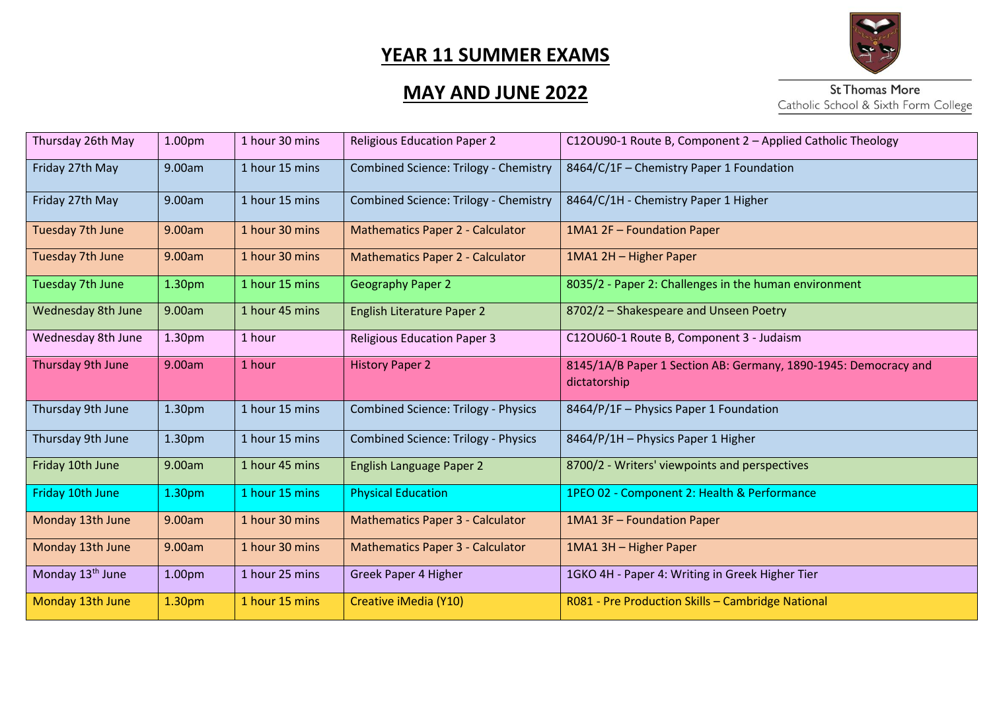

# **MAY AND JUNE 2022**

| Thursday 26th May            | 1.00 <sub>pm</sub> | 1 hour 30 mins | <b>Religious Education Paper 2</b>           | C12OU90-1 Route B, Component 2 - Applied Catholic Theology                      |
|------------------------------|--------------------|----------------|----------------------------------------------|---------------------------------------------------------------------------------|
| Friday 27th May              | 9.00am             | 1 hour 15 mins | <b>Combined Science: Trilogy - Chemistry</b> | 8464/C/1F - Chemistry Paper 1 Foundation                                        |
| Friday 27th May              | 9.00am             | 1 hour 15 mins | Combined Science: Trilogy - Chemistry        | 8464/C/1H - Chemistry Paper 1 Higher                                            |
| <b>Tuesday 7th June</b>      | 9.00am             | 1 hour 30 mins | <b>Mathematics Paper 2 - Calculator</b>      | 1MA1 2F - Foundation Paper                                                      |
| Tuesday 7th June             | 9.00am             | 1 hour 30 mins | <b>Mathematics Paper 2 - Calculator</b>      | 1MA1 2H - Higher Paper                                                          |
| Tuesday 7th June             | 1.30 <sub>pm</sub> | 1 hour 15 mins | <b>Geography Paper 2</b>                     | 8035/2 - Paper 2: Challenges in the human environment                           |
| <b>Wednesday 8th June</b>    | 9.00am             | 1 hour 45 mins | <b>English Literature Paper 2</b>            | 8702/2 - Shakespeare and Unseen Poetry                                          |
| Wednesday 8th June           | 1.30pm             | 1 hour         | <b>Religious Education Paper 3</b>           | C12OU60-1 Route B, Component 3 - Judaism                                        |
| Thursday 9th June            | 9.00am             | 1 hour         | <b>History Paper 2</b>                       | 8145/1A/B Paper 1 Section AB: Germany, 1890-1945: Democracy and<br>dictatorship |
| Thursday 9th June            | 1.30pm             | 1 hour 15 mins | <b>Combined Science: Trilogy - Physics</b>   | 8464/P/1F - Physics Paper 1 Foundation                                          |
| Thursday 9th June            | 1.30pm             | 1 hour 15 mins | <b>Combined Science: Trilogy - Physics</b>   | 8464/P/1H - Physics Paper 1 Higher                                              |
| Friday 10th June             | 9.00am             | 1 hour 45 mins | <b>English Language Paper 2</b>              | 8700/2 - Writers' viewpoints and perspectives                                   |
| Friday 10th June             | 1.30 <sub>pm</sub> | 1 hour 15 mins | <b>Physical Education</b>                    | 1PEO 02 - Component 2: Health & Performance                                     |
| Monday 13th June             | 9.00am             | 1 hour 30 mins | <b>Mathematics Paper 3 - Calculator</b>      | 1MA1 3F - Foundation Paper                                                      |
| Monday 13th June             | 9.00am             | 1 hour 30 mins | <b>Mathematics Paper 3 - Calculator</b>      | 1MA1 3H - Higher Paper                                                          |
| Monday 13 <sup>th</sup> June | 1.00 <sub>pm</sub> | 1 hour 25 mins | Greek Paper 4 Higher                         | 1GKO 4H - Paper 4: Writing in Greek Higher Tier                                 |
| Monday 13th June             | 1.30pm             | 1 hour 15 mins | Creative iMedia (Y10)                        | R081 - Pre Production Skills - Cambridge National                               |
|                              |                    |                |                                              |                                                                                 |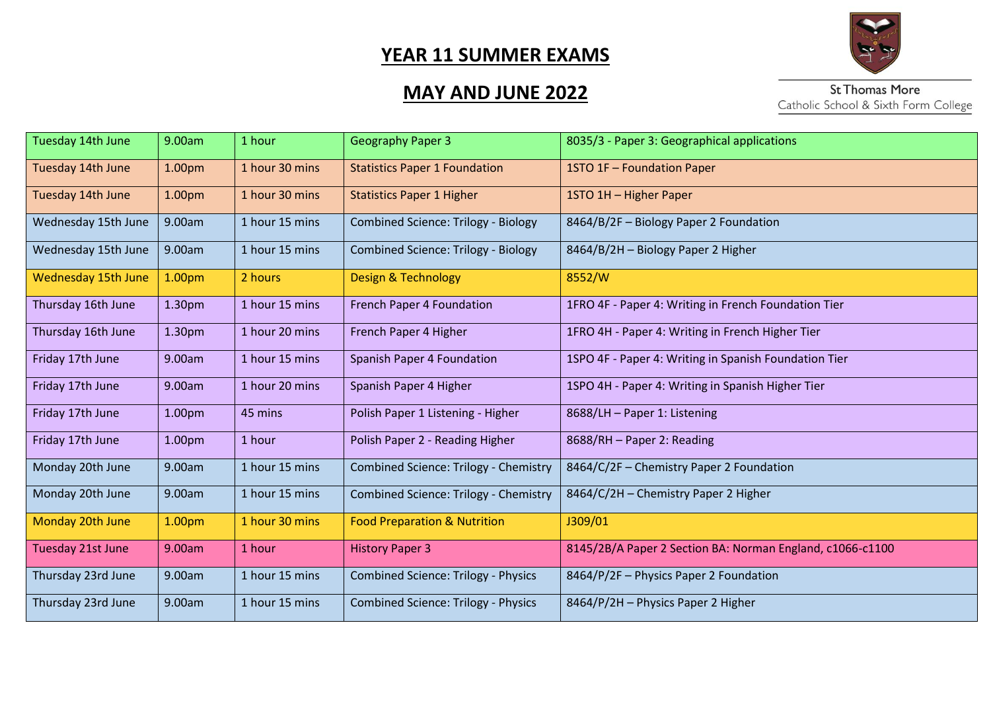

# **MAY AND JUNE 2022**

| Tuesday 14th June          | 9.00am | 1 hour         | <b>Geography Paper 3</b>                   | 8035/3 - Paper 3: Geographical applications               |
|----------------------------|--------|----------------|--------------------------------------------|-----------------------------------------------------------|
| Tuesday 14th June          | 1.00pm | 1 hour 30 mins | <b>Statistics Paper 1 Foundation</b>       | 1STO 1F - Foundation Paper                                |
| Tuesday 14th June          | 1.00pm | 1 hour 30 mins | <b>Statistics Paper 1 Higher</b>           | 1STO 1H - Higher Paper                                    |
| Wednesday 15th June        | 9.00am | 1 hour 15 mins | <b>Combined Science: Trilogy - Biology</b> | 8464/B/2F - Biology Paper 2 Foundation                    |
| Wednesday 15th June        | 9.00am | 1 hour 15 mins | <b>Combined Science: Trilogy - Biology</b> | 8464/B/2H - Biology Paper 2 Higher                        |
| <b>Wednesday 15th June</b> | 1.00pm | 2 hours        | Design & Technology                        | 8552/W                                                    |
| Thursday 16th June         | 1.30pm | 1 hour 15 mins | <b>French Paper 4 Foundation</b>           | 1FRO 4F - Paper 4: Writing in French Foundation Tier      |
| Thursday 16th June         | 1.30pm | 1 hour 20 mins | French Paper 4 Higher                      | 1FRO 4H - Paper 4: Writing in French Higher Tier          |
| Friday 17th June           | 9.00am | 1 hour 15 mins | Spanish Paper 4 Foundation                 | 1SPO 4F - Paper 4: Writing in Spanish Foundation Tier     |
| Friday 17th June           | 9.00am | 1 hour 20 mins | Spanish Paper 4 Higher                     | 1SPO 4H - Paper 4: Writing in Spanish Higher Tier         |
| Friday 17th June           | 1.00pm | 45 mins        | Polish Paper 1 Listening - Higher          | 8688/LH - Paper 1: Listening                              |
| Friday 17th June           | 1.00pm | 1 hour         | Polish Paper 2 - Reading Higher            | 8688/RH - Paper 2: Reading                                |
| Monday 20th June           | 9.00am | 1 hour 15 mins | Combined Science: Trilogy - Chemistry      | 8464/C/2F - Chemistry Paper 2 Foundation                  |
| Monday 20th June           | 9.00am | 1 hour 15 mins | Combined Science: Trilogy - Chemistry      | 8464/C/2H - Chemistry Paper 2 Higher                      |
| Monday 20th June           | 1.00pm | 1 hour 30 mins | <b>Food Preparation &amp; Nutrition</b>    | J309/01                                                   |
| Tuesday 21st June          | 9.00am | 1 hour         | <b>History Paper 3</b>                     | 8145/2B/A Paper 2 Section BA: Norman England, c1066-c1100 |
| Thursday 23rd June         | 9.00am | 1 hour 15 mins | <b>Combined Science: Trilogy - Physics</b> | 8464/P/2F - Physics Paper 2 Foundation                    |
| Thursday 23rd June         | 9.00am | 1 hour 15 mins | <b>Combined Science: Trilogy - Physics</b> | 8464/P/2H - Physics Paper 2 Higher                        |